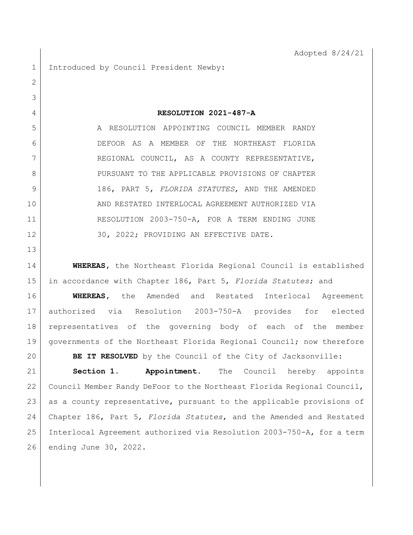1 Introduced by Council President Newby:

 **RESOLUTION 2021-487-A** 5 A RESOLUTION APPOINTING COUNCIL MEMBER RANDY DEFOOR AS A MEMBER OF THE NORTHEAST FLORIDA 7 REGIONAL COUNCIL, AS A COUNTY REPRESENTATIVE, 8 PURSUANT TO THE APPLICABLE PROVISIONS OF CHAPTER 186, PART 5, *FLORIDA STATUTES*, AND THE AMENDED AND RESTATED INTERLOCAL AGREEMENT AUTHORIZED VIA RESOLUTION 2003-750-A, FOR A TERM ENDING JUNE 12 30, 2022; PROVIDING AN EFFECTIVE DATE.

 **WHEREAS,** the Northeast Florida Regional Council is established in accordance with Chapter 186, Part 5, *Florida Statutes*; and

 **WHEREAS,** the Amended and Restated Interlocal Agreement authorized via Resolution 2003-750-A provides for elected representatives of the governing body of each of the member 19 | governments of the Northeast Florida Regional Council; now therefore **BE IT RESOLVED** by the Council of the City of Jacksonville:

 **Section 1. Appointment.** The Council hereby appoints Council Member Randy DeFoor to the Northeast Florida Regional Council, 23 as a county representative, pursuant to the applicable provisions of Chapter 186, Part 5, *Florida Statutes*, and the Amended and Restated Interlocal Agreement authorized via Resolution 2003-750-A, for a term ending June 30, 2022.